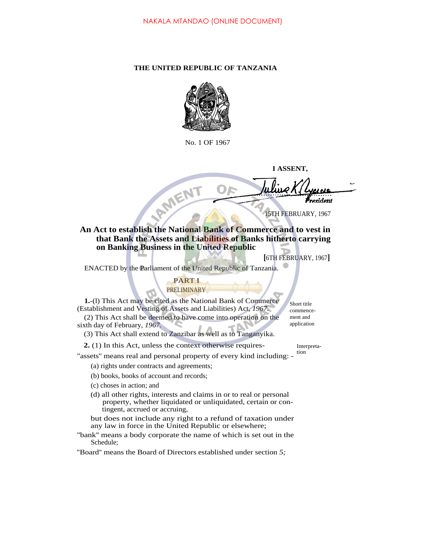# **THE UNITED REPUBLIC OF TANZANIA**



No. 1 OF 1967

**I ASSENT,**

FAMENT sident

15TH FEBRUARY, 1967

**An Act to establish the National Bank of Commerce and to vest in that Bank the Assets and Liabilities of Banks hitherto carrying on Banking Business in the United Republic**

**[**6TH FEBRUARY, 1967**]**

ENACTED by the Parliament of the United Republic of Tanzania.

# PART I

# PRELIMINARY

**1.**-(l) This Act may be cited as the National Bank of Commerce (Establishment and Vesting of Assets and Liabilities) Act, *1967.* (2) This Act shall be deemed to have come into operation on the sixth day of February, *1967.*

(3) This Act shall extend to Zanzibar as well as to Tanganyika.

**2.** (1) In this Act, unless the context otherwise requires-<br>

"assets" means real and personal property of every kind including: -

(a) rights under contracts and agreements;

(b) books, books of account and records;

(c) choses in action; and

(d) all other rights, interests and claims in or to real or personal property, whether liquidated or unliquidated, certain or contingent, accrued or accruing,

but does not include any right to a refund of taxation under any law in force in the United Republic or elsewhere;

''bank'' means a body corporate the name of which is set out in the Schedule;

''Board'' means the Board of Directors established under section *5;*

Short title commencement and application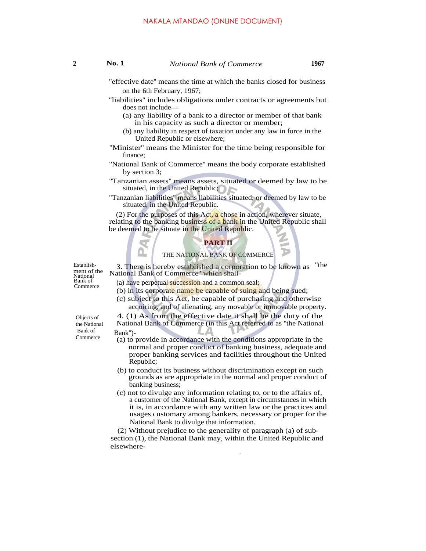D

- ''effective date'' means the time at which the banks closed for business on the 6th February, 1967;
- ''liabilities'' includes obligations under contracts or agreements but does not include
	- (a) any liability of a bank to a director or member of that bank in his capacity as such a director or member;
	- (b) any liability in respect of taxation under any law in force in the United Republic or elsewhere;
- ''Minister'' means the Minister for the time being responsible for finance;
- ''National Bank of Commerce'' means the body corporate established by section 3;
- ''Tanzanian assets'' means assets, situated or deemed by law to be situated, in the United Republic;
- ''Tanzanian liabilities'' means liabilities situated, or deemed by law to be situated, in the United Republic.

(2) For the purposes of this Act, a chose in action, wherever situate, relating to the banking business of a bank in the United Republic shall be deemed to be situate in the United Republic.

### **PART II**

### THE NATIONAL BANK OF COMMERCE

Establish- 3. There is hereby established a corporation to be known as ''the National Bank of Commerce" which shall-

Bank of (a) have perpetual succession and a common seal;<br>Commerce

- (b) in its corporate name be capable of suing and being sued;
- (c) subject to this Act, be capable of purchasing and otherwise acquiring, and of alienating, any movable or immovable property.
- 4. (1) As from the effective date it shall be the duty of the National Bank of Commerce (in this Act referred to as ''the National Bank'')-
- (a) to provide in accordance with the conditions appropriate in the normal and proper conduct of banking business, adequate and proper banking services and facilities throughout the United Republic;
- (b) to conduct its business without discrimination except on such grounds as are appropriate in the normal and proper conduct of banking business;
- (c) not to divulge any information relating to, or to the affairs of, a customer of the National Bank, except in circumstances in which it is, in accordance with any written law or the practices and usages customary among bankers, necessary or proper for the National Bank to divulge that information.

(2) Without prejudice to the generality of paragraph (a) of subsection (1), the National Bank may, within the United Republic and elsewhere-

.

National<br>Bank of

Objects of the National Bank of Commerce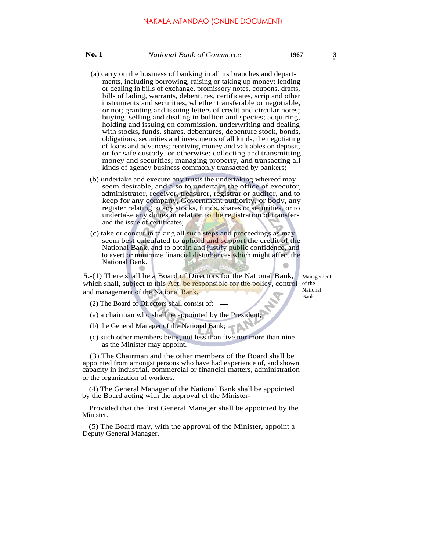- (a) carry on the business of banking in all its branches and departments, including borrowing, raising or taking up money; lending or dealing in bills of exchange, promissory notes, coupons, drafts, bills of lading, warrants, debentures, certificates, scrip and other instruments and securities, whether transferable or negotiable, or not; granting and issuing letters of credit and circular notes; buying, selling and dealing in bullion and species; acquiring, holding and issuing on commission, underwriting and dealing with stocks, funds, shares, debentures, debenture stock, bonds, obligations, securities and investments of all kinds, the negotiating of loans and advances; receiving money and valuables on deposit, or for safe custody, or otherwise; collecting and transmitting money and securities; managing property, and transacting all kinds of agency business commonly transacted by bankers;
- (b) undertake and execute any trusts the undertaking whereof may seem desirable, and also to undertake the office of executor, administrator, receiver, treasurer, registrar or auditor, and to keep for any company, Government authority, or body, any register relating to any stocks, funds, shares or securities, or to undertake any duties in relation to the registration of transfers and the issue of certificates;
- (c) take or concur in taking all such steps and proceedings as may seem best calculated to uphold and support the credit of the National Bank, and to obtain and justify public confidence, and to avert or minimize financial disturbances which might affect the National Bank.

**5.**-(1) There shall be a Board of Directors for the National Bank, which shall, subject to this Act, be responsible for the policy, control and management of the National Bank.

- (2) The Board of Directors shall consist of:
- (a) a chairman who shall be appointed by the President;
- (b) the General Manager of the National Bank;
- (c) such other members being not less than five nor more than nine as the Minister may appoint.

(3) The Chairman and the other members of the Board shall be appointed from amongst persons who have had experience of, and shown capacity in industrial, commercial or financial matters, administration or the organization of workers.

(4) The General Manager of the National Bank shall be appointed by the Board acting with the approval of the Minister-

Provided that the first General Manager shall be appointed by the Minister.

(5) The Board may, with the approval of the Minister, appoint a Deputy General Manager.

Management of the National Bank

**-**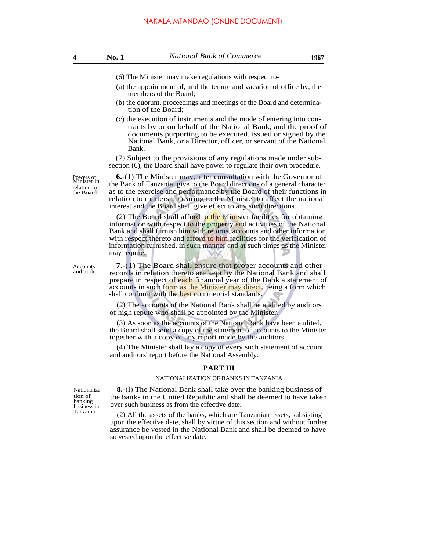- (6) The Minister may make regulations with respect to-
- (a) the appointment of, and the tenure and vacation of office by, the members of the Board;
- (b) the quorum, proceedings and meetings of the Board and determination of the Board;
- (c) the execution of instruments and the mode of entering into contracts by or on behalf of the National Bank, and the proof of documents purporting to be executed, issued or signed by the National Bank, or a Director, officer, or servant of the National Bank.

(7) Subject to the provisions of any regulations made under subsection (6), the Board shall have power to regulate their own procedure.

**6.**-(1) The Minister may, after consultation with the Governor of the Bank of Tanzania, give to the Board directions of a general character as to the exercise and performance by the Board of their functions in relation to matters appearing to the Minister to affect the national interest and the Board shall give effect to any such directions.

(2) The Board shall afford to the Minister facilities for obtaining information with respect to the property and activities of the National Bank and shall furnish him with returns, accounts and other information with respect thereto and afford to him facilities for the verification of information furnished, in such manner and at such times as the Minister may require.

**7.**-(1) The Board shall ensure that proper accounts and other records in relation thereto are kept by the National Bank and shall prepare in respect of each financial year of the Bank a statement of accounts in such form as the Minister may direct, being a form which shall conform with the best commercial standards.

(2) The accounts of the National Bank shall be audited by auditors of high repute who shall be appointed by the Minister.

(3) As soon as the accounts of the National Bank have been audited, the Board shall send a copy of the statement of accounts to the Minister together with a copy of any report made by the auditors.

(4) The Minister shall lay a copy of every such statement of account and auditors' report before the National Assembly.

### **PART III**

#### NATIONALIZATION OF BANKS IN TANZANIA

**8.**-(l) The National Bank shall take over the banking business of the banks in the United Republic and shall be deemed to have taken over such business as from the effective date.

 $(2)$  All the assets of the banks, which are Tanzanian assets, subsisting upon the effective date, shall by virtue of this section and without further assurance be vested in the National Bank and shall be deemed to have so vested upon the effective date.

Accounts and audit

Powers of Minister in relation to the Board

Nationalization of banking business in<br>Tanzania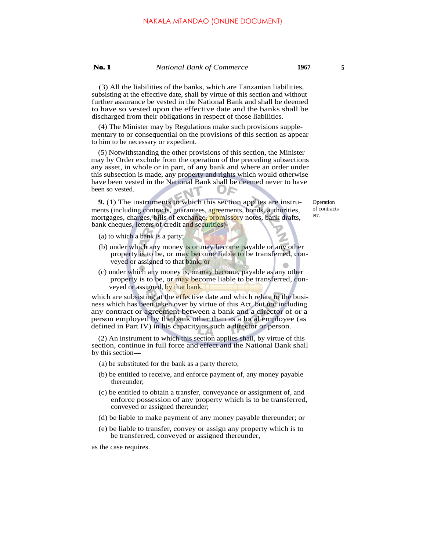(3) All the liabilities of the banks, which are Tanzanian liabilities, subsisting at the effective date, shall by virtue of this section and without further assurance be vested in the National Bank and shall be deemed to have so vested upon the effective date and the banks shall be discharged from their obligations in respect of those liabilities.

(4) The Minister may by Regulations make such provisions supplementary to or consequential on the provisions of this section as appear to him to be necessary or expedient.

(5) Notwithstanding the other provisions of this section, the Minister may by Order exclude from the operation of the preceding subsections any asset, in whole or in part, of any bank and where an order under this subsection is made, any property and rights which would otherwise have been vested in the National Bank shall be deemed never to have been so vested.

**9.** (1) The instruments to which this section applies are instruments (including contracts, guarantees, agreements, bonds, authorities, mortgages, charges, bills of exchange, promissory notes, bank drafts, bank cheques, letters of credit and securities)-

(a) to which a bank is a party;

**No. I**

- (b) under which any money is or may become payable or any other property is to be, or may become liable to be transferred, conveyed or assigned to that bank; or
- (c) under which any money is, or may become, payable as any other property is to be, or may become liable to be transferred, conveyed or assigned, by that bank,

which are subsisting at the effective date and which relate to the business which has been taken over by virtue of this Act, but not including any contract or agreement between a bank and a director of or a person employed by the bank other than as a local employee (as defined in Part IV) in his capacity as such a director or person.

(2) An instrument to which this section applies shall, by virtue of this section, continue in full force and effect and the National Bank shall by this section

- (a) be substituted for the bank as a party thereto;
- (b) be entitled to receive, and enforce payment of, any money payable thereunder;
- (c) be entitled to obtain a transfer, conveyance or assignment of, and enforce possession of any property which is to be transferred, conveyed or assigned thereunder;
- (d) be liable to make payment of any money payable thereunder; or
- (e) be liable to transfer, convey or assign any property which is to be transferred, conveyed or assigned thereunder,

as the case requires.

Operation of contracts etc.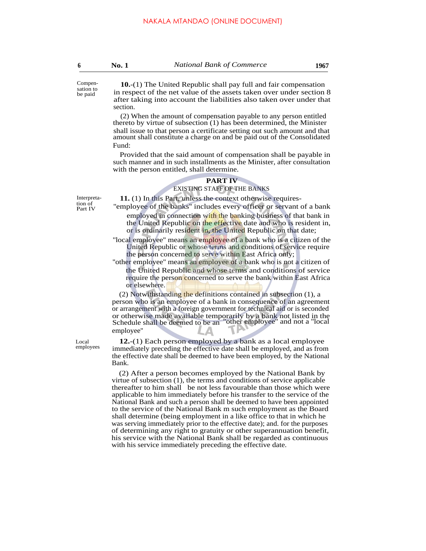sation to be paid

Compen- **10.**-(1) The United Republic shall pay full and fair compensation in respect of the net value of the assets taken over under section 8 after taking into account the liabilities also taken over under that section.

> (2) When the amount of compensation payable to any person entitled thereto by virtue of subsection (1) has been determined, the Minister shall issue to that person a certificate setting out such amount and that amount shall constitute a charge on and be paid out of the Consolidated Fund:

> Provided that the said amount of compensation shall be payable in such manner and in such installments as the Minister, after consultation with the person entitled, shall determine.

### **PART IV**

#### EXISTING STAFF OF THE BANKS

Interpreta- **11.** (1) In this Part, unless the context otherwise requires-

"employee of the banks" includes every officer or servant of a bank employed in connection with the banking business of that bank in the United Republic on the effective date and who is resident in, or is ordinarily resident in, the United Republic on that date;

''local employee'' means an employee of a bank who is a citizen of the United Republic or whose terms and conditions of service require the person concerned to serve within East Africa only;

''other employee'' means an employee of a bank who is not a citizen of the United Republic and whose terms and conditions of service require the person concerned to serve the bank within East Africa or elsewhere.

(2) Notwithstanding the definitions contained in subsection (1), a person who is an employee of a bank in consequence of an agreement or arrangement with a foreign government for technical aid or is seconded or otherwise made available temporarily by a bank not listed in the Schedule shall be deemed to be an ''other employee'' and not a ''local employee''

**12.**-(1) Each person employed by a bank as a local employee immediately preceding the effective date shall be employed, and as from the effective date shall be deemed to have been employed, by the National Bank.

(2) After a person becomes employed by the National Bank by virtue of subsection (1), the terms and conditions of service applicable thereafter to him shall be not less favourable than those which were applicable to him immediately before his transfer to the service of the National Bank and such a person shall be deemed to have been appointed to the service of the National Bank m such employment as the Board shall determine (being employment in a like office to that in which he was serving immediately prior to the effective date); and. for the purposes of determining any right to gratuity or other superannuation benefit, his service with the National Bank shall be regarded as continuous with his service immediately preceding the effective date.

tion of<br>Part IV

Local employees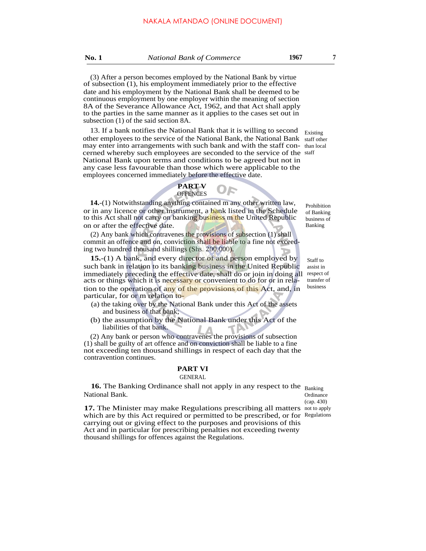## **No. 1** *National Bank of Commerce* **1967 7**

(3) After a person becomes employed by the National Bank by virtue of subsection (1), his employment immediately prior to the effective date and his employment by the National Bank shall be deemed to be continuous employment by one employer within the meaning of section 8A of the Severance Allowance Act, 1962, and that Act shall apply to the parties in the same manner as it applies to the cases set out in subsection (1) of the said section 8A.

13. If a bank notifies the National Bank that it is willing to second other employees to the service of the National Bank, the National Bank staff other may enter into arrangements with such bank and with the staff con-than local cerned whereby such employees are seconded to the service of the staff National Bank upon terms and conditions to be agreed but not in any case less favourable than those which were applicable to the employees concerned immediately before the effective date. Existing

#### **PART V OFFENCES**

**14.**-(1) Notwithstanding anything contained m any other written law, or in any licence or other instrument, a bank listed in the Schedule to this Act shall not carry on banking business in the United Republic on or after the effective date.

(2) Any bank which contravenes the provisions of subsection (1) shall commit an offence and on, conviction shall be liable to a fine not exceeding two hundred thousand shillings (Shs. 200,000).

**15.**-(1) A bank, and every director of and person employed by such bank in relation to its banking business in the United Republic immediately preceding the effective date, shall do or join in doing all acts or things which it is necessary or convenient to do for or in relation to the operation of any of the provisions of this Act, and, in particular, for or m relation to-

- (a) the taking over by the National Bank under this Act of the assets and business of that bank;
- (b) the assumption by the National Bank under this Act of the liabilities of that bank.

(2) Any bank or person who contravenes the provisions of subsection (1) shall be guilty of art offence and on conviction shall be liable to a fine not exceeding ten thousand shillings in respect of each day that the contravention continues.

# **PART VI**

#### GENERAL

16. The Banking Ordinance shall not apply in any respect to the Banking National Bank.

**Ordinance** (cap. 430)

**17.** The Minister may make Regulations prescribing all matters not to apply which are by this Act required or permitted to be prescribed, or for Regulations carrying out or giving effect to the purposes and provisions of this Act and in particular for prescribing penalties not exceeding twenty thousand shillings for offences against the Regulations.

Prohibition of Banking business of Banking

Staff to assist in respect of transfer of business